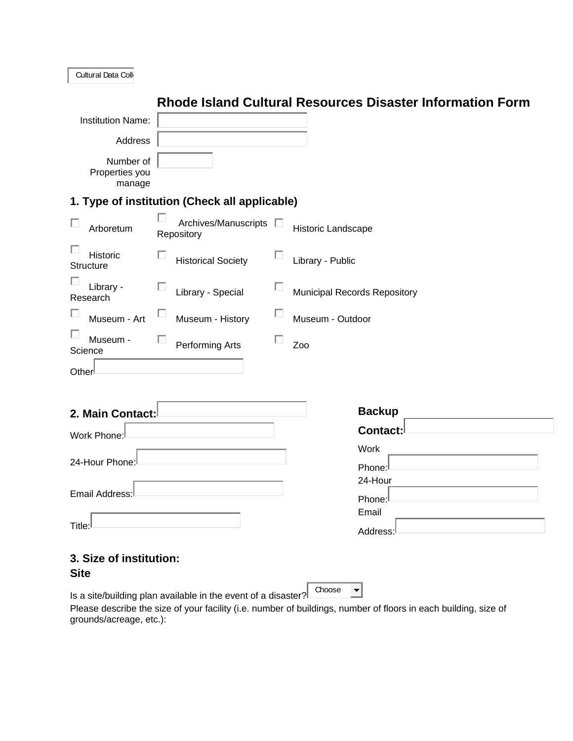Cultural Data Colle

|                                        |                                                   |   | Rhode Island Cultural Resources Disaster Information Form |
|----------------------------------------|---------------------------------------------------|---|-----------------------------------------------------------|
| <b>Institution Name:</b>               |                                                   |   |                                                           |
| Address                                |                                                   |   |                                                           |
| Number of<br>Properties you<br>manage  |                                                   |   |                                                           |
|                                        | 1. Type of institution (Check all applicable)     |   |                                                           |
| п<br>Arboretum                         | o<br>Archives/Manuscripts $\square$<br>Repository |   | Historic Landscape                                        |
| П<br>Historic<br><b>Structure</b>      | □<br><b>Historical Society</b>                    | п | Library - Public                                          |
| Library -<br>Research                  | п<br>Library - Special                            | ш | <b>Municipal Records Repository</b>                       |
| п<br>Museum - Art                      | ப<br>Museum - History                             | ш | Museum - Outdoor                                          |
| П<br>Museum -<br>Science               | п<br>Performing Arts                              | ш | Zoo                                                       |
| Other                                  |                                                   |   |                                                           |
| 2. Main Contact:                       |                                                   |   | <b>Backup</b>                                             |
| Work Phone:                            |                                                   |   | Contact:                                                  |
| 24-Hour Phone:                         |                                                   |   | Work<br>Phone:                                            |
| Email Address:                         |                                                   |   | 24-Hour<br>Phone:                                         |
| $\mathsf{Title}$ :                     |                                                   |   | Email<br>Address:                                         |
| 3. Size of institution:<br><b>Site</b> |                                                   |   |                                                           |

Is a site/building plan available in the event of a disaster? Choose

Please describe the size of your facility (i.e. number of buildings, number of floors in each building, size of grounds/acreage, etc.):

 $\lceil \cdot \rceil$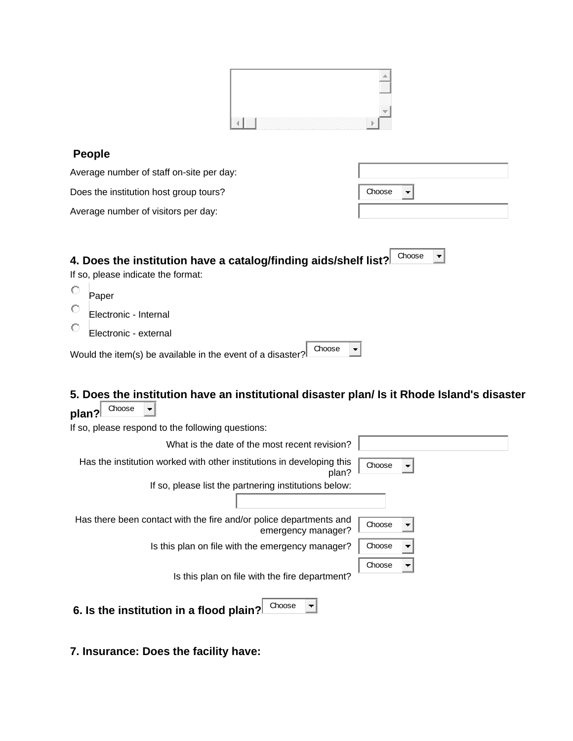|                                                                               | ٠       |
|-------------------------------------------------------------------------------|---------|
| ,,,,,,,,,,,,,,,,<br>×<br>87<br>x<br>٠<br>٠<br>٠<br>x<br>٠<br>٠<br>٠<br>٠<br>÷ | т<br>÷. |

| Average number of staff on-site per day: |        |
|------------------------------------------|--------|
| Does the institution host group tours?   | Choose |
| Average number of visitors per day:      |        |

|   | 4. Does the institution have a catalog/finding aids/shelf list? $\stackrel{1}{\sim}$<br>If so, please indicate the format: | Choose |  |
|---|----------------------------------------------------------------------------------------------------------------------------|--------|--|
| O | Paper                                                                                                                      |        |  |
| О | Electronic - Internal                                                                                                      |        |  |
| O | Electronic - external                                                                                                      |        |  |
|   | Choose<br>Would the item(s) be available in the event of a disaster? $\mathbin{\llcorner}$                                 |        |  |

# **5. Does the institution have an institutional disaster plan/ Is it Rhode Island's disaster plan?** Choose

| pian : :                                                                                 |        |  |
|------------------------------------------------------------------------------------------|--------|--|
| If so, please respond to the following questions:                                        |        |  |
| What is the date of the most recent revision?                                            |        |  |
| Has the institution worked with other institutions in developing this<br>plan?           | Choose |  |
| If so, please list the partnering institutions below:                                    |        |  |
|                                                                                          |        |  |
| Has there been contact with the fire and/or police departments and<br>emergency manager? | Choose |  |
| Is this plan on file with the emergency manager?                                         | Choose |  |
| Is this plan on file with the fire department?                                           | Choose |  |
| Choose<br>6. Is the institution in a flood plain?                                        |        |  |

# **7. Insurance: Does the facility have:**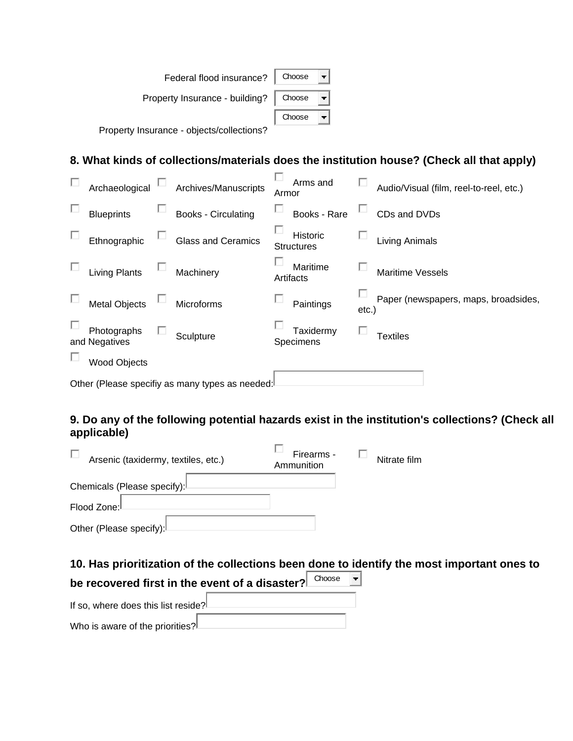| Federal flood insurance? $\vert$ Choose $\vert \cdot \vert$       |             |  |
|-------------------------------------------------------------------|-------------|--|
| Property Insurance - building? $\vert$ Choose $\vert \cdot \vert$ |             |  |
|                                                                   | Choose $\ $ |  |
| Property Insurance - objects/collections?                         |             |  |

## **8. What kinds of collections/materials does the institution house? (Check all that apply)**

| Archaeological               | Archives/Manuscripts                            | Armor | Arms and                      |          | Audio/Visual (film, reel-to-reel, etc.) |
|------------------------------|-------------------------------------------------|-------|-------------------------------|----------|-----------------------------------------|
| <b>Blueprints</b>            | Books - Circulating                             |       | Books - Rare                  |          | CDs and DVDs                            |
| Ethnographic                 | <b>Glass and Ceramics</b>                       |       | Historic<br><b>Structures</b> |          | <b>Living Animals</b>                   |
| <b>Living Plants</b>         | Machinery                                       |       | Maritime<br>Artifacts         |          | <b>Maritime Vessels</b>                 |
| <b>Metal Objects</b>         | Microforms                                      |       | Paintings                     | $etc.$ ) | Paper (newspapers, maps, broadsides,    |
| Photographs<br>and Negatives | Sculpture                                       |       | Taxidermy<br>Specimens        |          | <b>Textiles</b>                         |
| <b>Wood Objects</b>          |                                                 |       |                               |          |                                         |
|                              | Other (Please specifiy as many types as needed: |       |                               |          |                                         |

## **9. Do any of the following potential hazards exist in the institution's collections? (Check all applicable)**

| Arsenic (taxidermy, textiles, etc.) | Firearms -<br>Ammunition | Nitrate film |
|-------------------------------------|--------------------------|--------------|
| Chemicals (Please specify):         |                          |              |
| Flood Zone:                         |                          |              |
| Other (Please specify):             |                          |              |

## **10. Has prioritization of the collections been done to identify the most important ones to**

| be recovered first in the event of a disaster? | Choose | I – I |
|------------------------------------------------|--------|-------|
| If so, where does this list reside?            |        |       |
| Who is aware of the priorities?                |        |       |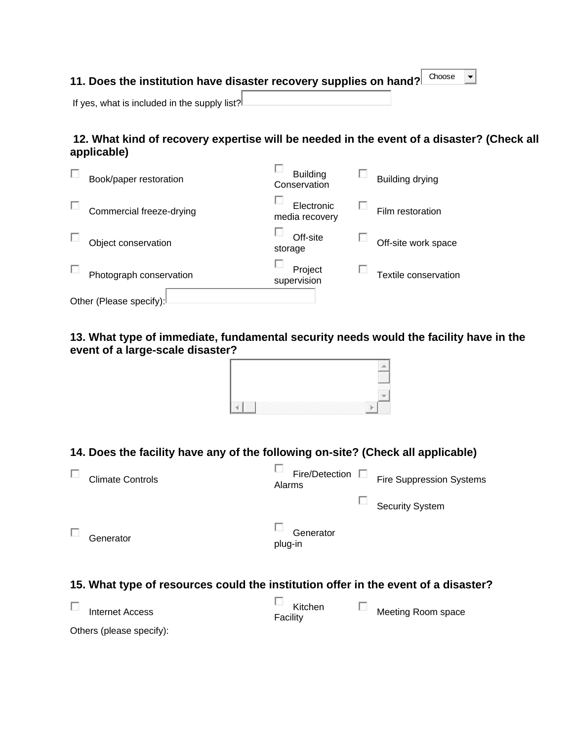# 11. Does the institution have disaster recovery supplies on hand?<sup> Choose</sup>

If yes, what is included in the supply list?

### **12. What kind of recovery expertise will be needed in the event of a disaster? (Check all applicable)**

| Book/paper restoration   | <b>Building</b><br>Conservation | Building drying      |
|--------------------------|---------------------------------|----------------------|
| Commercial freeze-drying | Electronic<br>media recovery    | Film restoration     |
| Object conservation      | Off-site<br>storage             | Off-site work space  |
| Photograph conservation  | Project<br>supervision          | Textile conservation |
| Other (Please specify):  |                                 |                      |

#### **13. What type of immediate, fundamental security needs would the facility have in the event of a large-scale disaster?**

| 88 B.B<br>œ<br>×<br>œ<br>÷<br>w<br>٠<br>w<br>٠ | ٠<br>W. |
|------------------------------------------------|---------|

## **14. Does the facility have any of the following on-site? (Check all applicable)**

| <b>Climate Controls</b> | Fire/Detection $\square$<br>Alarms | <b>Fire Suppression Systems</b> |
|-------------------------|------------------------------------|---------------------------------|
|                         |                                    | <b>Security System</b>          |
| Generator               | Generator<br>plug-in               |                                 |
|                         |                                    |                                 |

#### **15. What type of resources could the institution offer in the event of a disaster?**

| Internet Access          | Kitchen<br>Facility | Meeting Room space |
|--------------------------|---------------------|--------------------|
| Others (please specify): |                     |                    |